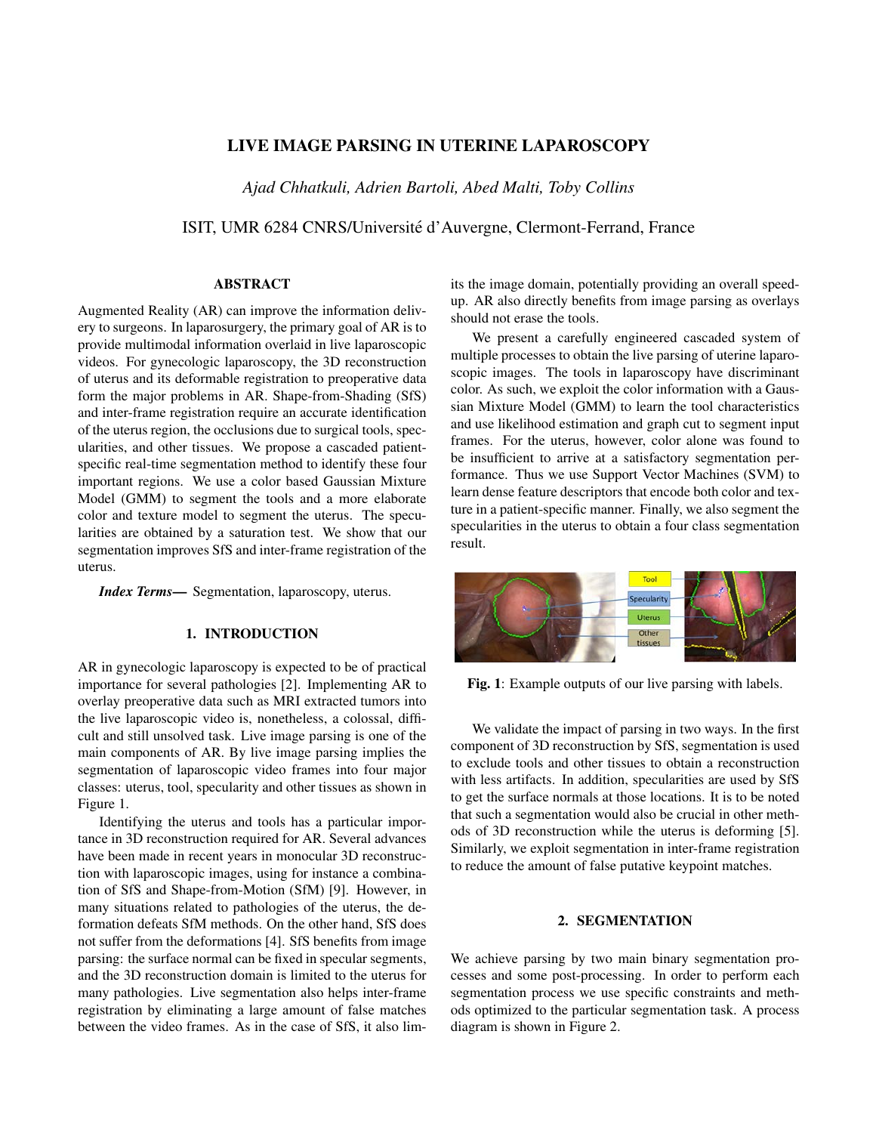# LIVE IMAGE PARSING IN UTERINE LAPAROSCOPY

*Ajad Chhatkuli, Adrien Bartoli, Abed Malti, Toby Collins*

ISIT, UMR 6284 CNRS/Universite d'Auvergne, Clermont-Ferrand, France ´

## ABSTRACT

Augmented Reality (AR) can improve the information delivery to surgeons. In laparosurgery, the primary goal of AR is to provide multimodal information overlaid in live laparoscopic videos. For gynecologic laparoscopy, the 3D reconstruction of uterus and its deformable registration to preoperative data form the major problems in AR. Shape-from-Shading (SfS) and inter-frame registration require an accurate identification of the uterus region, the occlusions due to surgical tools, specularities, and other tissues. We propose a cascaded patientspecific real-time segmentation method to identify these four important regions. We use a color based Gaussian Mixture Model (GMM) to segment the tools and a more elaborate color and texture model to segment the uterus. The specularities are obtained by a saturation test. We show that our segmentation improves SfS and inter-frame registration of the uterus.

*Index Terms*— Segmentation, laparoscopy, uterus.

### 1. INTRODUCTION

AR in gynecologic laparoscopy is expected to be of practical importance for several pathologies [2]. Implementing AR to overlay preoperative data such as MRI extracted tumors into the live laparoscopic video is, nonetheless, a colossal, difficult and still unsolved task. Live image parsing is one of the main components of AR. By live image parsing implies the segmentation of laparoscopic video frames into four major classes: uterus, tool, specularity and other tissues as shown in Figure 1.

Identifying the uterus and tools has a particular importance in 3D reconstruction required for AR. Several advances have been made in recent years in monocular 3D reconstruction with laparoscopic images, using for instance a combination of SfS and Shape-from-Motion (SfM) [9]. However, in many situations related to pathologies of the uterus, the deformation defeats SfM methods. On the other hand, SfS does not suffer from the deformations [4]. SfS benefits from image parsing: the surface normal can be fixed in specular segments, and the 3D reconstruction domain is limited to the uterus for many pathologies. Live segmentation also helps inter-frame registration by eliminating a large amount of false matches between the video frames. As in the case of SfS, it also limits the image domain, potentially providing an overall speedup. AR also directly benefits from image parsing as overlays should not erase the tools.

We present a carefully engineered cascaded system of multiple processes to obtain the live parsing of uterine laparoscopic images. The tools in laparoscopy have discriminant color. As such, we exploit the color information with a Gaussian Mixture Model (GMM) to learn the tool characteristics and use likelihood estimation and graph cut to segment input frames. For the uterus, however, color alone was found to be insufficient to arrive at a satisfactory segmentation performance. Thus we use Support Vector Machines (SVM) to learn dense feature descriptors that encode both color and texture in a patient-specific manner. Finally, we also segment the specularities in the uterus to obtain a four class segmentation result.



Fig. 1: Example outputs of our live parsing with labels.

We validate the impact of parsing in two ways. In the first component of 3D reconstruction by SfS, segmentation is used to exclude tools and other tissues to obtain a reconstruction with less artifacts. In addition, specularities are used by SfS to get the surface normals at those locations. It is to be noted that such a segmentation would also be crucial in other methods of 3D reconstruction while the uterus is deforming [5]. Similarly, we exploit segmentation in inter-frame registration to reduce the amount of false putative keypoint matches.

### 2. SEGMENTATION

We achieve parsing by two main binary segmentation processes and some post-processing. In order to perform each segmentation process we use specific constraints and methods optimized to the particular segmentation task. A process diagram is shown in Figure 2.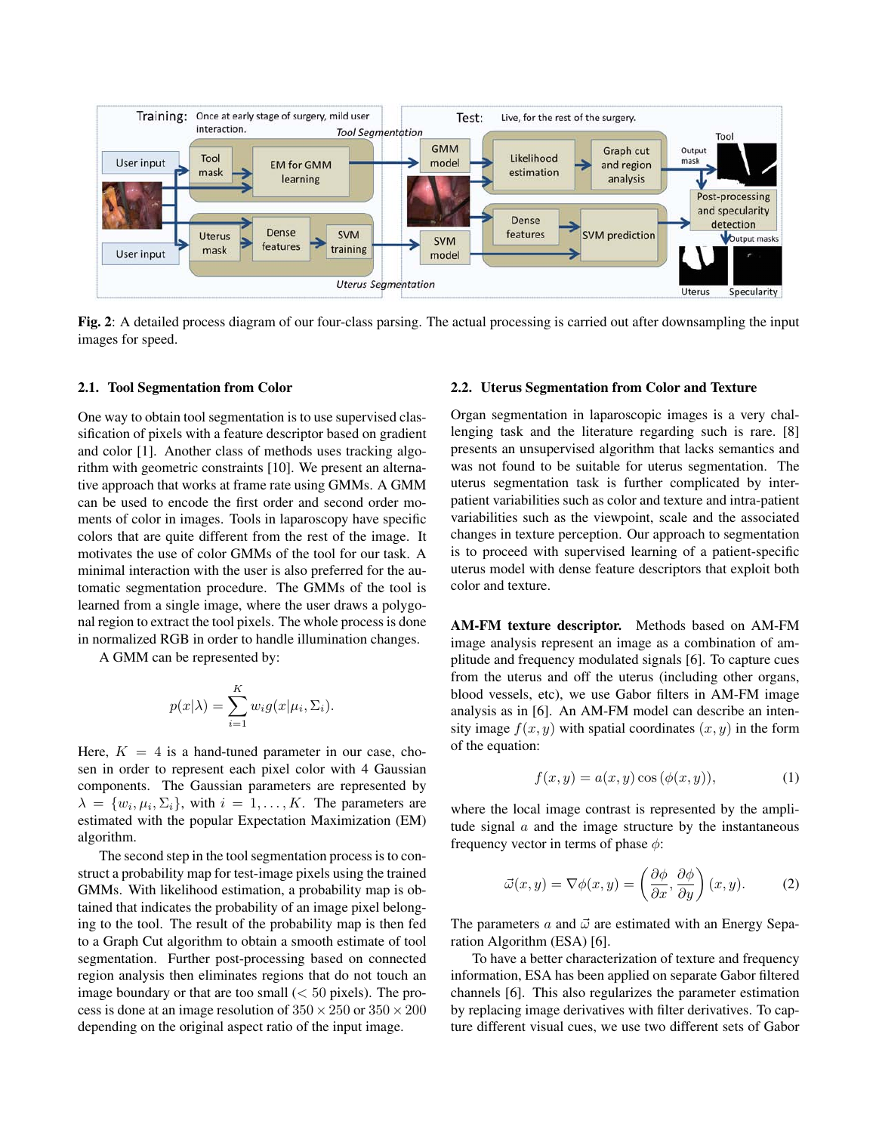

Fig. 2: A detailed process diagram of our four-class parsing. The actual processing is carried out after downsampling the input images for speed.

#### 2.1. Tool Segmentation from Color

One way to obtain tool segmentation is to use supervised classification of pixels with a feature descriptor based on gradient and color [1]. Another class of methods uses tracking algorithm with geometric constraints [10]. We present an alternative approach that works at frame rate using GMMs. A GMM can be used to encode the first order and second order moments of color in images. Tools in laparoscopy have specific colors that are quite different from the rest of the image. It motivates the use of color GMMs of the tool for our task. A minimal interaction with the user is also preferred for the automatic segmentation procedure. The GMMs of the tool is learned from a single image, where the user draws a polygonal region to extract the tool pixels. The whole process is done in normalized RGB in order to handle illumination changes.

A GMM can be represented by:

$$
p(x|\lambda) = \sum_{i=1}^{K} w_i g(x|\mu_i, \Sigma_i).
$$

Here,  $K = 4$  is a hand-tuned parameter in our case, chosen in order to represent each pixel color with 4 Gaussian components. The Gaussian parameters are represented by  $\lambda = \{w_i, \mu_i, \Sigma_i\}$ , with  $i = 1, \dots, K$ . The parameters are estimated with the popular Expectation Maximization (EM) algorithm.

The second step in the tool segmentation process is to construct a probability map for test-image pixels using the trained GMMs. With likelihood estimation, a probability map is obtained that indicates the probability of an image pixel belonging to the tool. The result of the probability map is then fed to a Graph Cut algorithm to obtain a smooth estimate of tool segmentation. Further post-processing based on connected region analysis then eliminates regions that do not touch an image boundary or that are too small  $( $50$  pixels). The pro$ cess is done at an image resolution of  $350 \times 250$  or  $350 \times 200$ depending on the original aspect ratio of the input image.

### 2.2. Uterus Segmentation from Color and Texture

Organ segmentation in laparoscopic images is a very challenging task and the literature regarding such is rare. [8] presents an unsupervised algorithm that lacks semantics and was not found to be suitable for uterus segmentation. The uterus segmentation task is further complicated by interpatient variabilities such as color and texture and intra-patient variabilities such as the viewpoint, scale and the associated changes in texture perception. Our approach to segmentation is to proceed with supervised learning of a patient-specific uterus model with dense feature descriptors that exploit both color and texture.

AM-FM texture descriptor. Methods based on AM-FM image analysis represent an image as a combination of amplitude and frequency modulated signals [6]. To capture cues from the uterus and off the uterus (including other organs, blood vessels, etc), we use Gabor filters in AM-FM image analysis as in [6]. An AM-FM model can describe an intensity image  $f(x, y)$  with spatial coordinates  $(x, y)$  in the form of the equation:

$$
f(x,y) = a(x,y)\cos(\phi(x,y)),\tag{1}
$$

where the local image contrast is represented by the amplitude signal  $a$  and the image structure by the instantaneous frequency vector in terms of phase  $\phi$ :

$$
\vec{\omega}(x,y) = \nabla \phi(x,y) = \left(\frac{\partial \phi}{\partial x}, \frac{\partial \phi}{\partial y}\right)(x,y). \tag{2}
$$

The parameters a and  $\vec{\omega}$  are estimated with an Energy Separation Algorithm (ESA) [6].

To have a better characterization of texture and frequency information, ESA has been applied on separate Gabor filtered channels [6]. This also regularizes the parameter estimation by replacing image derivatives with filter derivatives. To capture different visual cues, we use two different sets of Gabor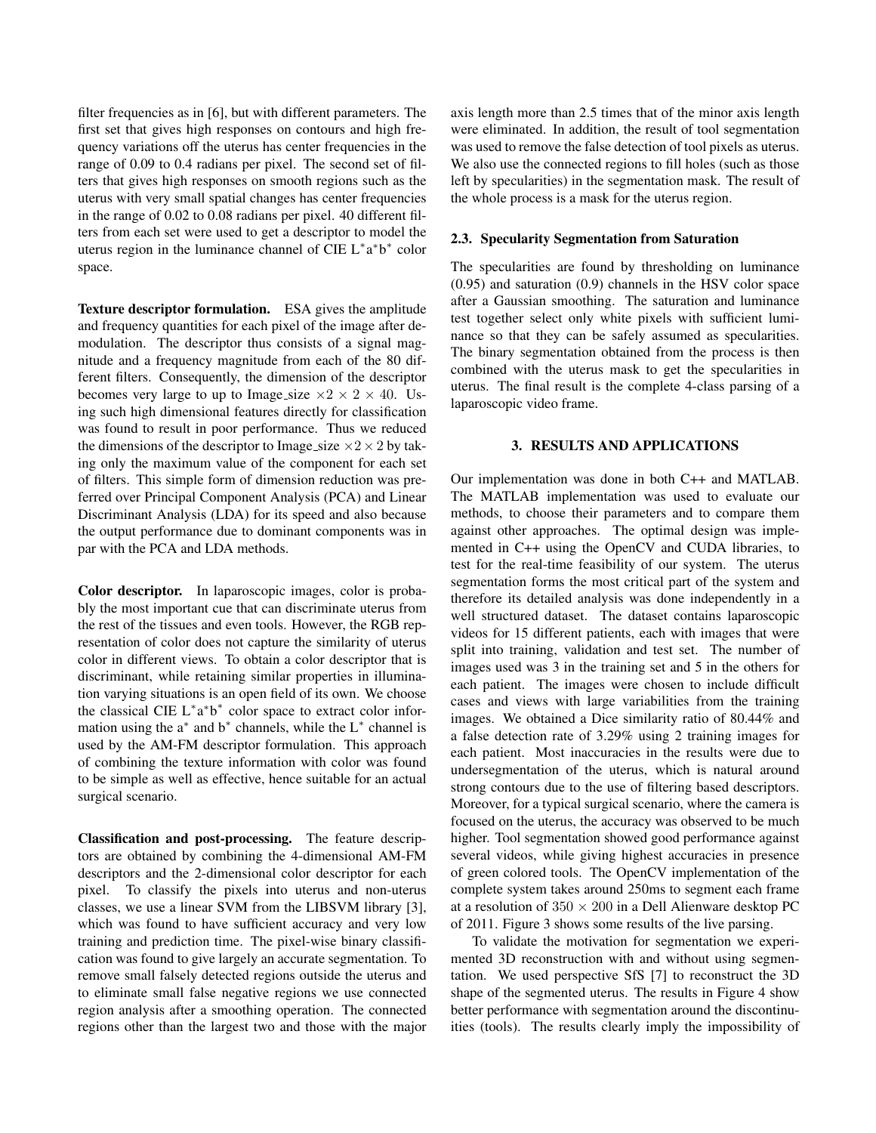filter frequencies as in [6], but with different parameters. The first set that gives high responses on contours and high frequency variations off the uterus has center frequencies in the range of 0.09 to 0.4 radians per pixel. The second set of filters that gives high responses on smooth regions such as the uterus with very small spatial changes has center frequencies in the range of 0.02 to 0.08 radians per pixel. 40 different filters from each set were used to get a descriptor to model the uterus region in the luminance channel of CIE L<sup>\*</sup>a<sup>\*</sup>b<sup>\*</sup> color space.

Texture descriptor formulation. ESA gives the amplitude and frequency quantities for each pixel of the image after demodulation. The descriptor thus consists of a signal magnitude and a frequency magnitude from each of the 80 different filters. Consequently, the dimension of the descriptor becomes very large to up to Image\_size  $\times 2 \times 2 \times 40$ . Using such high dimensional features directly for classification was found to result in poor performance. Thus we reduced the dimensions of the descriptor to Image\_size  $\times$ 2  $\times$ 2 by taking only the maximum value of the component for each set of filters. This simple form of dimension reduction was preferred over Principal Component Analysis (PCA) and Linear Discriminant Analysis (LDA) for its speed and also because the output performance due to dominant components was in par with the PCA and LDA methods.

Color descriptor. In laparoscopic images, color is probably the most important cue that can discriminate uterus from the rest of the tissues and even tools. However, the RGB representation of color does not capture the similarity of uterus color in different views. To obtain a color descriptor that is discriminant, while retaining similar properties in illumination varying situations is an open field of its own. We choose the classical CIE  $L^*a^*b^*$  color space to extract color information using the  $a^*$  and  $b^*$  channels, while the  $L^*$  channel is used by the AM-FM descriptor formulation. This approach of combining the texture information with color was found to be simple as well as effective, hence suitable for an actual surgical scenario.

Classification and post-processing. The feature descriptors are obtained by combining the 4-dimensional AM-FM descriptors and the 2-dimensional color descriptor for each pixel. To classify the pixels into uterus and non-uterus classes, we use a linear SVM from the LIBSVM library [3], which was found to have sufficient accuracy and very low training and prediction time. The pixel-wise binary classification was found to give largely an accurate segmentation. To remove small falsely detected regions outside the uterus and to eliminate small false negative regions we use connected region analysis after a smoothing operation. The connected regions other than the largest two and those with the major axis length more than 2.5 times that of the minor axis length were eliminated. In addition, the result of tool segmentation was used to remove the false detection of tool pixels as uterus. We also use the connected regions to fill holes (such as those left by specularities) in the segmentation mask. The result of the whole process is a mask for the uterus region.

#### 2.3. Specularity Segmentation from Saturation

The specularities are found by thresholding on luminance (0.95) and saturation (0.9) channels in the HSV color space after a Gaussian smoothing. The saturation and luminance test together select only white pixels with sufficient luminance so that they can be safely assumed as specularities. The binary segmentation obtained from the process is then combined with the uterus mask to get the specularities in uterus. The final result is the complete 4-class parsing of a laparoscopic video frame.

#### 3. RESULTS AND APPLICATIONS

Our implementation was done in both C++ and MATLAB. The MATLAB implementation was used to evaluate our methods, to choose their parameters and to compare them against other approaches. The optimal design was implemented in C++ using the OpenCV and CUDA libraries, to test for the real-time feasibility of our system. The uterus segmentation forms the most critical part of the system and therefore its detailed analysis was done independently in a well structured dataset. The dataset contains laparoscopic videos for 15 different patients, each with images that were split into training, validation and test set. The number of images used was 3 in the training set and 5 in the others for each patient. The images were chosen to include difficult cases and views with large variabilities from the training images. We obtained a Dice similarity ratio of 80.44% and a false detection rate of 3.29% using 2 training images for each patient. Most inaccuracies in the results were due to undersegmentation of the uterus, which is natural around strong contours due to the use of filtering based descriptors. Moreover, for a typical surgical scenario, where the camera is focused on the uterus, the accuracy was observed to be much higher. Tool segmentation showed good performance against several videos, while giving highest accuracies in presence of green colored tools. The OpenCV implementation of the complete system takes around 250ms to segment each frame at a resolution of  $350 \times 200$  in a Dell Alienware desktop PC of 2011. Figure 3 shows some results of the live parsing.

To validate the motivation for segmentation we experimented 3D reconstruction with and without using segmentation. We used perspective SfS [7] to reconstruct the 3D shape of the segmented uterus. The results in Figure 4 show better performance with segmentation around the discontinuities (tools). The results clearly imply the impossibility of